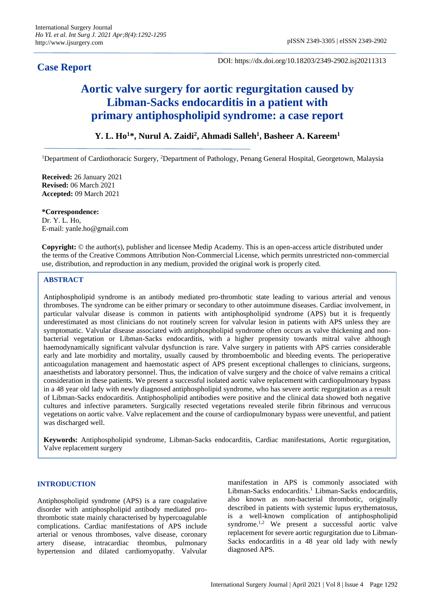# **Case Report**

DOI: https://dx.doi.org/10.18203/2349-2902.isj20211313

# **Aortic valve surgery for aortic regurgitation caused by Libman-Sacks endocarditis in a patient with primary antiphospholipid syndrome: a case report**

# **Y. L. Ho<sup>1</sup>\*, Nurul A. Zaidi<sup>2</sup> , Ahmadi Salleh<sup>1</sup> , Basheer A. Kareem<sup>1</sup>**

<sup>1</sup>Department of Cardiothoracic Surgery, <sup>2</sup>Department of Pathology, Penang General Hospital, Georgetown, Malaysia

**Received:** 26 January 2021 **Revised:** 06 March 2021 **Accepted:** 09 March 2021

**\*Correspondence:** Dr. Y. L. Ho, E-mail: yanle.ho@gmail.com

**Copyright:** © the author(s), publisher and licensee Medip Academy. This is an open-access article distributed under the terms of the Creative Commons Attribution Non-Commercial License, which permits unrestricted non-commercial use, distribution, and reproduction in any medium, provided the original work is properly cited.

# **ABSTRACT**

Antiphospholipid syndrome is an antibody mediated pro-thrombotic state leading to various arterial and venous thromboses. The syndrome can be either primary or secondary to other autoimmune diseases. Cardiac involvement, in particular valvular disease is common in patients with antiphospholipid syndrome (APS) but it is frequently underestimated as most clinicians do not routinely screen for valvular lesion in patients with APS unless they are symptomatic. Valvular disease associated with antiphospholipid syndrome often occurs as valve thickening and nonbacterial vegetation or Libman-Sacks endocarditis, with a higher propensity towards mitral valve although haemodynamically significant valvular dysfunction is rare. Valve surgery in patients with APS carries considerable early and late morbidity and mortality, usually caused by thromboembolic and bleeding events. The perioperative anticoagulation management and haemostatic aspect of APS present exceptional challenges to clinicians, surgeons, anaesthetists and laboratory personnel. Thus, the indication of valve surgery and the choice of valve remains a critical consideration in these patients. We present a successful isolated aortic valve replacement with cardiopulmonary bypass in a 48 year old lady with newly diagnosed antiphospholipid syndrome, who has severe aortic regurgitation as a result of Libman-Sacks endocarditis. Antiphospholipid antibodies were positive and the clinical data showed both negative cultures and infective parameters. Surgically resected vegetations revealed sterile fibrin fibrinous and verrucous vegetations on aortic valve. Valve replacement and the course of cardiopulmonary bypass were uneventful, and patient was discharged well.

**Keywords:** Antiphospholipid syndrome, Libman-Sacks endocarditis, Cardiac manifestations, Aortic regurgitation, Valve replacement surgery

# **INTRODUCTION**

Antiphospholipid syndrome (APS) is a rare coagulative disorder with antiphospholipid antibody mediated prothrombotic state mainly characterised by hypercoagulable complications. Cardiac manifestations of APS include arterial or venous thromboses, valve disease, coronary artery disease, intracardiac thrombus, pulmonary hypertension and dilated cardiomyopathy. Valvular manifestation in APS is commonly associated with Libman-Sacks endocarditis.<sup>1</sup> Libman-Sacks endocarditis, also known as non-bacterial thrombotic, originally described in patients with systemic lupus erythematosus, is a well-known complication of antiphospholipid syndrome.<sup>1,2</sup> We present a successful aortic valve replacement for severe aortic regurgitation due to Libman-Sacks endocarditis in a 48 year old lady with newly diagnosed APS.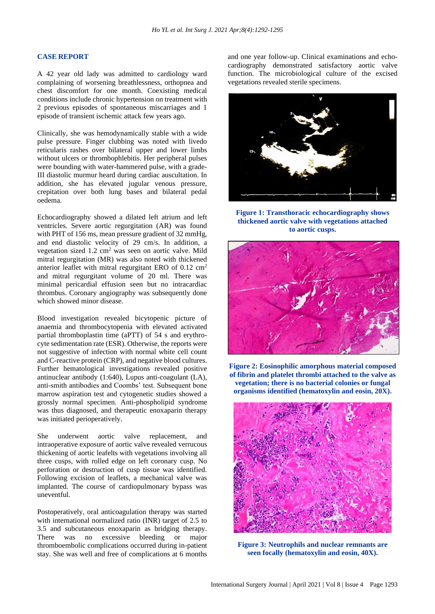#### **CASE REPORT**

A 42 year old lady was admitted to cardiology ward complaining of worsening breathlessness, orthopnea and chest discomfort for one month. Coexisting medical conditions include chronic hypertension on treatment with 2 previous episodes of spontaneous miscarriages and 1 episode of transient ischemic attack few years ago.

Clinically, she was hemodynamically stable with a wide pulse pressure. Finger clubbing was noted with livedo reticularis rashes over bilateral upper and lower limbs without ulcers or thrombophlebitis. Her peripheral pulses were bounding with water-hammered pulse, with a grade-III diastolic murmur heard during cardiac auscultation. In addition, she has elevated jugular venous pressure, crepitation over both lung bases and bilateral pedal oedema.

Echocardiography showed a dilated left atrium and left ventricles. Severe aortic regurgitation (AR) was found with PHT of 156 ms, mean pressure gradient of 32 mmHg, and end diastolic velocity of 29 cm/s. In addition, a vegetation sized 1.2 cm<sup>2</sup> was seen on aortic valve. Mild mitral regurgitation (MR) was also noted with thickened anterior leaflet with mitral regurgitant ERO of 0.12 cm<sup>2</sup> and mitral regurgitant volume of 20 ml. There was minimal pericardial effusion seen but no intracardiac thrombus. Coronary angiography was subsequently done which showed minor disease.

Blood investigation revealed bicytopenic picture of anaemia and thrombocytopenia with elevated activated partial thromboplastin time (aPTT) of 54 s and erythrocyte sedimentation rate (ESR). Otherwise, the reports were not suggestive of infection with normal white cell count and C-reactive protein (CRP), and negative blood cultures. Further hematological investigations revealed positive antinuclear antibody (1:640), Lupus anti-coagulant (LA), anti-smith antibodies and Coombs' test. Subsequent bone marrow aspiration test and cytogenetic studies showed a grossly normal specimen. Anti-phospholipid syndrome was thus diagnosed, and therapeutic enoxaparin therapy was initiated perioperatively.

She underwent aortic valve replacement, and intraoperative exposure of aortic valve revealed verrucous thickening of aortic leafelts with vegetations involving all three cusps, with rolled edge on left coronary cusp. No perforation or destruction of cusp tissue was identified. Following excision of leaflets, a mechanical valve was implanted. The course of cardiopulmonary bypass was uneventful.

Postoperatively, oral anticoagulation therapy was started with international normalized ratio (INR) target of 2.5 to 3.5 and subcutaneous enoxaparin as bridging therapy. There was no excessive bleeding or major thromboembolic complications occurred during in-patient stay. She was well and free of complications at 6 months and one year follow-up. Clinical examinations and echocardiography demonstrated satisfactory aortic valve function. The microbiological culture of the excised vegetations revealed sterile specimens.



**Figure 1: Transthoracic echocardiography shows thickened aortic valve with vegetations attached to aortic cusps.**



**Figure 2: Eosinophilic amorphous material composed of fibrin and platelet thrombi attached to the valve as vegetation; there is no bacterial colonies or fungal organisms identified (hematoxylin and eosin, 20X).**



**Figure 3: Neutrophils and nuclear remnants are seen focally (hematoxylin and eosin, 40X).**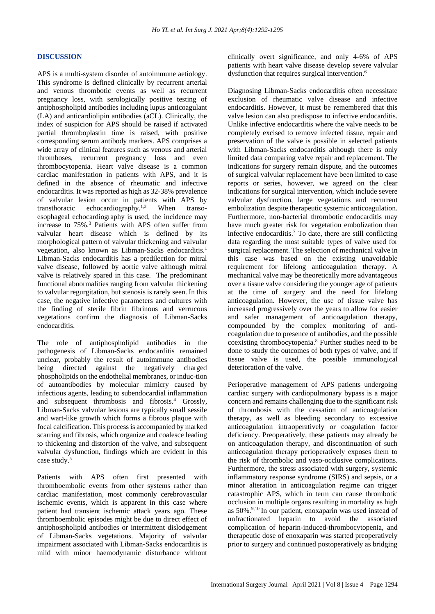# **DISCUSSION**

APS is a multi-system disorder of autoimmune aetiology. This syndrome is defined clinically by recurrent arterial and venous thrombotic events as well as recurrent pregnancy loss, with serologically positive testing of antiphospholipid antibodies including lupus anticoagulant (LA) and anticardiolipin antibodies (aCL). Clinically, the index of suspicion for APS should be raised if activated partial thromboplastin time is raised, with positive corresponding serum antibody markers. APS comprises a wide array of clinical features such as venous and arterial thromboses, recurrent pregnancy loss and even thrombocytopenia. Heart valve disease is a common cardiac manifestation in patients with APS, and it is defined in the absence of rheumatic and infective endocarditis. It was reported as high as 32-38% prevalence of valvular lesion occur in patients with APS by transthoracic echocardiography.1,2 When transoesophageal echocardiography is used, the incidence may increase to 75%.<sup>3</sup> Patients with APS often suffer from valvular heart disease which is defined by its morphological pattern of valvular thickening and valvular vegetation, also known as Libman-Sacks endocarditis.<sup>1</sup> Libman-Sacks endocarditis has a predilection for mitral valve disease, followed by aortic valve although mitral valve is relatively spared in this case. The predominant functional abnormalities ranging from valvular thickening to valvular regurgitation, but stenosis is rarely seen. In this case, the negative infective parameters and cultures with the finding of sterile fibrin fibrinous and verrucous vegetations confirm the diagnosis of Libman-Sacks endocarditis.

The role of antiphospholipid antibodies in the pathogenesis of Libman-Sacks endocarditis remained unclear, probably the result of autoimmune antibodies being directed against the negatively charged phospholipids on the endothelial membranes, or induc-tion of autoantibodies by molecular mimicry caused by infectious agents, leading to subendocardial inflammation and subsequent thrombosis and fibrosis.<sup>4</sup> Grossly, Libman-Sacks valvular lesions are typically small sessile and wart-like growth which forms a fibrous plaque with focal calcification. This process is accompanied by marked scarring and fibrosis, which organize and coalesce leading to thickening and distortion of the valve, and subsequent valvular dysfunction, findings which are evident in this case study.<sup>5</sup>

Patients with APS often first presented with thromboembolic events from other systems rather than cardiac manifestation, most commonly cerebrovascular ischemic events, which is apparent in this case where patient had transient ischemic attack years ago. These thromboembolic episodes might be due to direct effect of antiphospholipid antibodies or intermittent dislodgement of Libman-Sacks vegetations. Majority of valvular impairment associated with Libman-Sacks endocarditis is mild with minor haemodynamic disturbance without clinically overt significance, and only 4-6% of APS patients with heart valve disease develop severe valvular dysfunction that requires surgical intervention.<sup>6</sup>

Diagnosing Libman-Sacks endocarditis often necessitate exclusion of rheumatic valve disease and infective endocarditis. However, it must be remembered that this valve lesion can also predispose to infective endocarditis. Unlike infective endocarditis where the valve needs to be completely excised to remove infected tissue, repair and preservation of the valve is possible in selected patients with Libman-Sacks endocarditis although there is only limited data comparing valve repair and replacement. The indications for surgery remain dispute, and the outcomes of surgical valvular replacement have been limited to case reports or series, however, we agreed on the clear indications for surgical intervention, which include severe valvular dysfunction, large vegetations and recurrent embolization despite therapeutic systemic anticoagulation. Furthermore, non-bacterial thrombotic endocarditis may have much greater risk for vegetation embolization than infective endocarditis.<sup>7</sup> To date, there are still conflicting data regarding the most suitable types of valve used for surgical replacement. The selection of mechanical valve in this case was based on the existing unavoidable requirement for lifelong anticoagulation therapy. A mechanical valve may be theoretically more advantageous over a tissue valve considering the younger age of patients at the time of surgery and the need for lifelong anticoagulation. However, the use of tissue valve has increased progressively over the years to allow for easier and safer management of anticoagulation therapy, compounded by the complex monitoring of anticoagulation due to presence of antibodies, and the possible coexisting thrombocytopenia.<sup>8</sup> Further studies need to be done to study the outcomes of both types of valve, and if tissue valve is used, the possible immunological deterioration of the valve.

Perioperative management of APS patients undergoing cardiac surgery with cardiopulmonary bypass is a major concern and remains challenging due to the significant risk of thrombosis with the cessation of anticoagulation therapy, as well as bleeding secondary to excessive anticoagulation intraoperatively or coagulation factor deficiency. Preoperatively, these patients may already be on anticoagulation therapy, and discontinuation of such anticoagulation therapy perioperatively exposes them to the risk of thrombolic and vaso-occlusive complications. Furthermore, the stress associated with surgery, systemic inflammatory response syndrome (SIRS) and sepsis, or a minor alteration in anticoagulation regime can trigger catastrophic APS, which in term can cause thrombotic occlusion in multiple organs resulting in mortality as high as 50%.9,10 In our patient, enoxaparin was used instead of unfractionated heparin to avoid the associated complication of heparin-induced-thrombocytopenia, and therapeutic dose of enoxaparin was started preoperatively prior to surgery and continued postoperatively as bridging